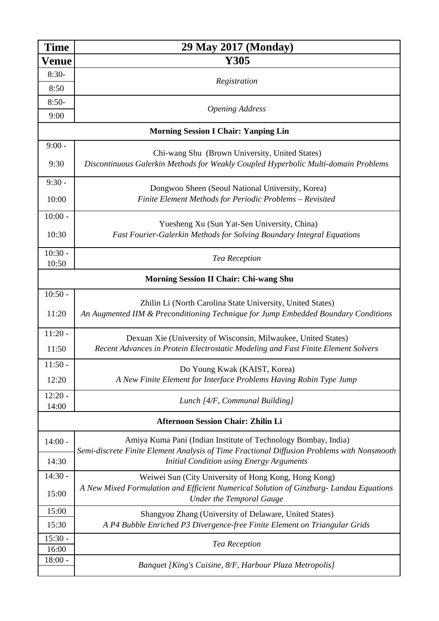| <b>Time</b>                                   | 29 May 2017 (Monday)                                                                                                                                         |  |  |  |
|-----------------------------------------------|--------------------------------------------------------------------------------------------------------------------------------------------------------------|--|--|--|
| Venue                                         | Y305                                                                                                                                                         |  |  |  |
| $8:30-$                                       | Registration                                                                                                                                                 |  |  |  |
| 8:50                                          |                                                                                                                                                              |  |  |  |
| $8:50-$                                       | <b>Opening Address</b>                                                                                                                                       |  |  |  |
| 9:00                                          |                                                                                                                                                              |  |  |  |
| <b>Morning Session I Chair: Yanping Lin</b>   |                                                                                                                                                              |  |  |  |
| $9:00 -$                                      |                                                                                                                                                              |  |  |  |
| 9:30                                          | Chi-wang Shu (Brown University, United States)<br>Discontinuous Galerkin Methods for Weakly Coupled Hyperbolic Multi-domain Problems                         |  |  |  |
| $9:30 -$                                      | Dongwoo Sheen (Seoul National University, Korea)                                                                                                             |  |  |  |
| 10:00                                         | Finite Element Methods for Periodic Problems - Revisited                                                                                                     |  |  |  |
| $10:00 -$                                     | Yuesheng Xu (Sun Yat-Sen University, China)                                                                                                                  |  |  |  |
| 10:30                                         | Fast Fourier-Galerkin Methods for Solving Boundary Integral Equations                                                                                        |  |  |  |
| $10:30 -$                                     | Tea Reception                                                                                                                                                |  |  |  |
| 10:50                                         |                                                                                                                                                              |  |  |  |
| <b>Morning Session II Chair: Chi-wang Shu</b> |                                                                                                                                                              |  |  |  |
| $10:50 -$                                     |                                                                                                                                                              |  |  |  |
| 11:20                                         | Zhilin Li (North Carolina State University, United States)<br>An Augmented IIM & Preconditioning Technique for Jump Embedded Boundary Conditions             |  |  |  |
| $11:20 -$                                     | Dexuan Xie (University of Wisconsin, Milwaukee, United States)                                                                                               |  |  |  |
| 11:50                                         | Recent Advances in Protein Electrostatic Modeling and Fast Finite Element Solvers                                                                            |  |  |  |
| $11:50 -$                                     | Do Young Kwak (KAIST, Korea)                                                                                                                                 |  |  |  |
| 12:20                                         | A New Finite Element for Interface Problems Having Robin Type Jump                                                                                           |  |  |  |
| $12:20 -$<br>14:00                            | Lunch [4/F, Communal Building]                                                                                                                               |  |  |  |
| <b>Afternoon Session Chair: Zhilin Li</b>     |                                                                                                                                                              |  |  |  |
| $14:00 -$                                     | Amiya Kuma Pani (Indian Institute of Technology Bombay, India)<br>Semi-discrete Finite Element Analysis of Time Fractional Diffusion Problems with Nonsmooth |  |  |  |
| 14:30                                         | <b>Initial Condition using Energy Arguments</b>                                                                                                              |  |  |  |
| $14:30 -$                                     | Weiwei Sun (City University of Hong Kong, Hong Kong)                                                                                                         |  |  |  |
| 15:00                                         | A New Mixed Formulation and Efficient Numerical Solution of Ginzburg- Landau Equations<br><b>Under the Temporal Gauge</b>                                    |  |  |  |
| 15:00                                         | Shangyou Zhang (University of Delaware, United States)                                                                                                       |  |  |  |
| 15:30                                         | A P4 Bubble Enriched P3 Divergence-free Finite Element on Triangular Grids                                                                                   |  |  |  |
| $15:30 -$<br>16:00                            | Tea Reception                                                                                                                                                |  |  |  |
| $18:00 -$                                     | Banquet [King's Cuisine, 8/F, Harbour Plaza Metropolis]                                                                                                      |  |  |  |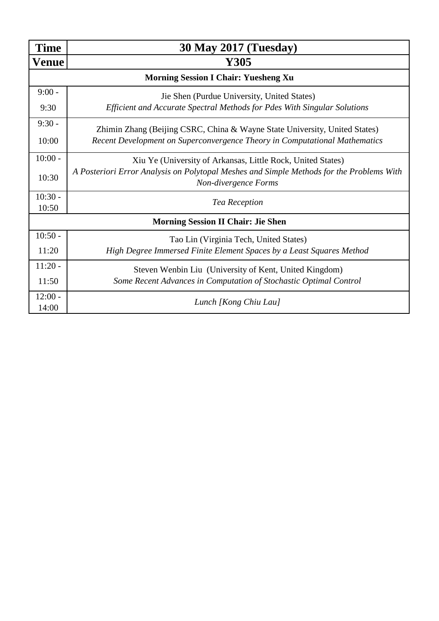| <b>Time</b>                                 | <b>30 May 2017 (Tuesday)</b>                                                                                                                             |  |  |  |
|---------------------------------------------|----------------------------------------------------------------------------------------------------------------------------------------------------------|--|--|--|
| Venue                                       | Y305                                                                                                                                                     |  |  |  |
| <b>Morning Session I Chair: Yuesheng Xu</b> |                                                                                                                                                          |  |  |  |
| $9:00 -$                                    | Jie Shen (Purdue University, United States)                                                                                                              |  |  |  |
| 9:30                                        | Efficient and Accurate Spectral Methods for Pdes With Singular Solutions                                                                                 |  |  |  |
| $9:30 -$                                    | Zhimin Zhang (Beijing CSRC, China & Wayne State University, United States)<br>Recent Development on Superconvergence Theory in Computational Mathematics |  |  |  |
| 10:00                                       |                                                                                                                                                          |  |  |  |
| $10:00 -$                                   | Xiu Ye (University of Arkansas, Little Rock, United States)                                                                                              |  |  |  |
| 10:30                                       | A Posteriori Error Analysis on Polytopal Meshes and Simple Methods for the Problems With<br>Non-divergence Forms                                         |  |  |  |
| $10:30 -$                                   | Tea Reception                                                                                                                                            |  |  |  |
| 10:50                                       |                                                                                                                                                          |  |  |  |
| <b>Morning Session II Chair: Jie Shen</b>   |                                                                                                                                                          |  |  |  |
| $10:50 -$                                   | Tao Lin (Virginia Tech, United States)                                                                                                                   |  |  |  |
| 11:20                                       | High Degree Immersed Finite Element Spaces by a Least Squares Method                                                                                     |  |  |  |
| $11:20 -$                                   | Steven Wenbin Liu (University of Kent, United Kingdom)                                                                                                   |  |  |  |
| 11:50                                       | Some Recent Advances in Computation of Stochastic Optimal Control                                                                                        |  |  |  |
| $12:00 -$<br>14:00                          | Lunch [Kong Chiu Lau]                                                                                                                                    |  |  |  |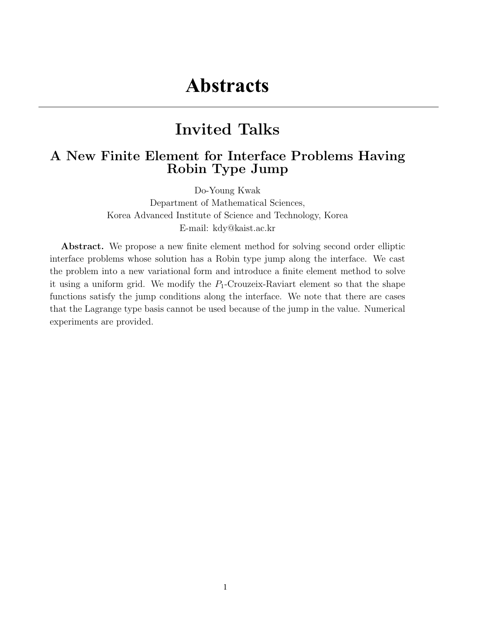## Invited Talks

### A New Finite Element for Interface Problems Having Robin Type Jump

Do-Young Kwak Department of Mathematical Sciences, Korea Advanced Institute of Science and Technology, Korea E-mail: kdy@kaist.ac.kr

Abstract. We propose a new finite element method for solving second order elliptic interface problems whose solution has a Robin type jump along the interface. We cast the problem into a new variational form and introduce a finite element method to solve it using a uniform grid. We modify the  $P_1$ -Crouzeix-Raviart element so that the shape functions satisfy the jump conditions along the interface. We note that there are cases that the Lagrange type basis cannot be used because of the jump in the value. Numerical experiments are provided.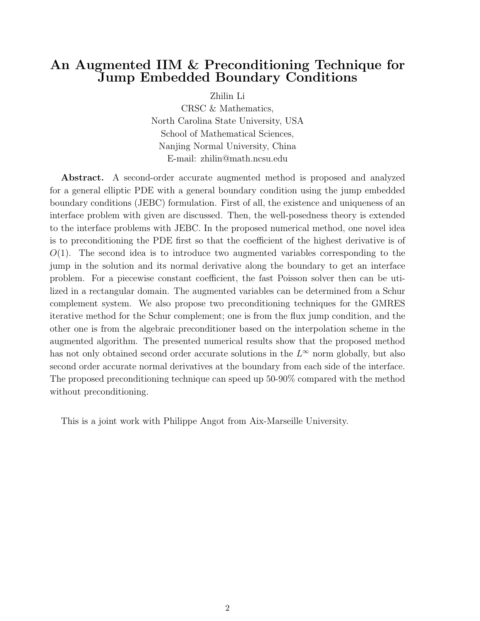#### An Augmented IIM & Preconditioning Technique for Jump Embedded Boundary Conditions

Zhilin Li

CRSC & Mathematics, North Carolina State University, USA School of Mathematical Sciences, Nanjing Normal University, China E-mail: zhilin@math.ncsu.edu

Abstract. A second-order accurate augmented method is proposed and analyzed for a general elliptic PDE with a general boundary condition using the jump embedded boundary conditions (JEBC) formulation. First of all, the existence and uniqueness of an interface problem with given are discussed. Then, the well-posedness theory is extended to the interface problems with JEBC. In the proposed numerical method, one novel idea is to preconditioning the PDE first so that the coefficient of the highest derivative is of  $O(1)$ . The second idea is to introduce two augmented variables corresponding to the jump in the solution and its normal derivative along the boundary to get an interface problem. For a piecewise constant coefficient, the fast Poisson solver then can be utilized in a rectangular domain. The augmented variables can be determined from a Schur complement system. We also propose two preconditioning techniques for the GMRES iterative method for the Schur complement; one is from the flux jump condition, and the other one is from the algebraic preconditioner based on the interpolation scheme in the augmented algorithm. The presented numerical results show that the proposed method has not only obtained second order accurate solutions in the  $L^{\infty}$  norm globally, but also second order accurate normal derivatives at the boundary from each side of the interface. The proposed preconditioning technique can speed up 50-90% compared with the method without preconditioning.

This is a joint work with Philippe Angot from Aix-Marseille University.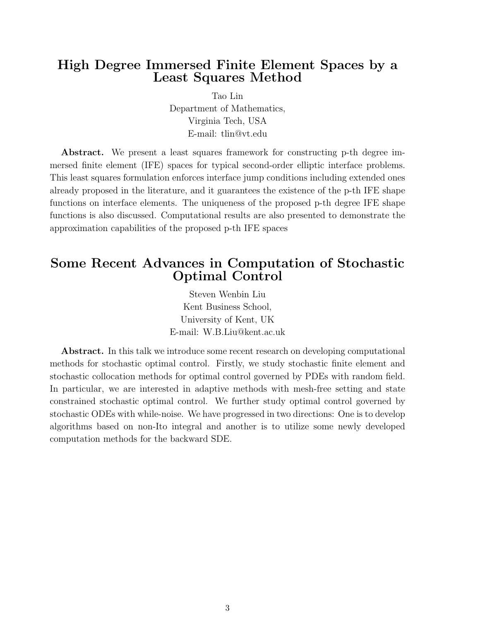#### High Degree Immersed Finite Element Spaces by a Least Squares Method

Tao Lin Department of Mathematics, Virginia Tech, USA E-mail: tlin@vt.edu

Abstract. We present a least squares framework for constructing p-th degree immersed finite element (IFE) spaces for typical second-order elliptic interface problems. This least squares formulation enforces interface jump conditions including extended ones already proposed in the literature, and it guarantees the existence of the p-th IFE shape functions on interface elements. The uniqueness of the proposed p-th degree IFE shape functions is also discussed. Computational results are also presented to demonstrate the approximation capabilities of the proposed p-th IFE spaces

#### Some Recent Advances in Computation of Stochastic Optimal Control

Steven Wenbin Liu Kent Business School, University of Kent, UK E-mail: W.B.Liu@kent.ac.uk

Abstract. In this talk we introduce some recent research on developing computational methods for stochastic optimal control. Firstly, we study stochastic finite element and stochastic collocation methods for optimal control governed by PDEs with random field. In particular, we are interested in adaptive methods with mesh-free setting and state constrained stochastic optimal control. We further study optimal control governed by stochastic ODEs with while-noise. We have progressed in two directions: One is to develop algorithms based on non-Ito integral and another is to utilize some newly developed computation methods for the backward SDE.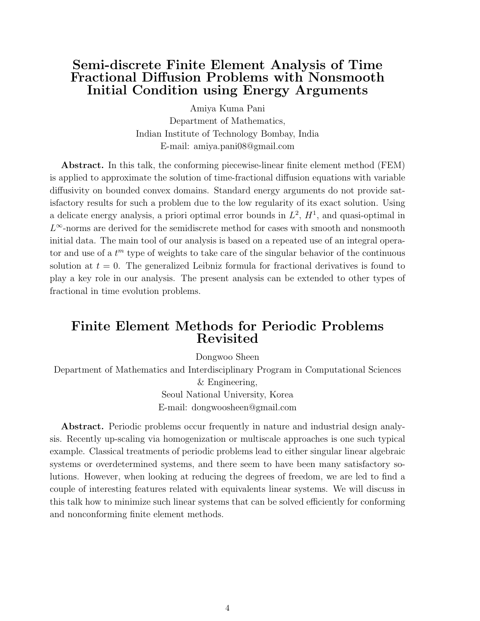#### Semi-discrete Finite Element Analysis of Time Fractional Diffusion Problems with Nonsmooth Initial Condition using Energy Arguments

Amiya Kuma Pani Department of Mathematics, Indian Institute of Technology Bombay, India E-mail: amiya.pani08@gmail.com

Abstract. In this talk, the conforming piecewise-linear finite element method (FEM) is applied to approximate the solution of time-fractional diffusion equations with variable diffusivity on bounded convex domains. Standard energy arguments do not provide satisfactory results for such a problem due to the low regularity of its exact solution. Using a delicate energy analysis, a priori optimal error bounds in  $L^2$ ,  $H^1$ , and quasi-optimal in  $L^{\infty}$ -norms are derived for the semidiscrete method for cases with smooth and nonsmooth initial data. The main tool of our analysis is based on a repeated use of an integral operator and use of a  $t^m$  type of weights to take care of the singular behavior of the continuous solution at  $t = 0$ . The generalized Leibniz formula for fractional derivatives is found to play a key role in our analysis. The present analysis can be extended to other types of fractional in time evolution problems.

#### Finite Element Methods for Periodic Problems Revisited

Dongwoo Sheen

Department of Mathematics and Interdisciplinary Program in Computational Sciences & Engineering, Seoul National University, Korea E-mail: dongwoosheen@gmail.com

Abstract. Periodic problems occur frequently in nature and industrial design analysis. Recently up-scaling via homogenization or multiscale approaches is one such typical example. Classical treatments of periodic problems lead to either singular linear algebraic systems or overdetermined systems, and there seem to have been many satisfactory solutions. However, when looking at reducing the degrees of freedom, we are led to find a couple of interesting features related with equivalents linear systems. We will discuss in this talk how to minimize such linear systems that can be solved efficiently for conforming and nonconforming finite element methods.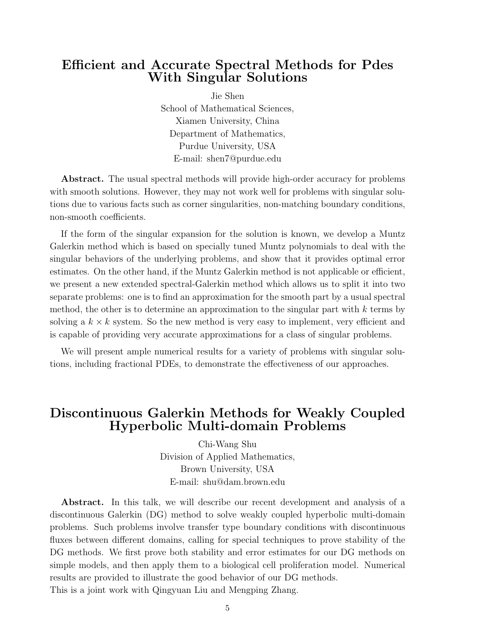#### Efficient and Accurate Spectral Methods for Pdes With Singular Solutions

Jie Shen School of Mathematical Sciences, Xiamen University, China Department of Mathematics, Purdue University, USA E-mail: shen7@purdue.edu

Abstract. The usual spectral methods will provide high-order accuracy for problems with smooth solutions. However, they may not work well for problems with singular solutions due to various facts such as corner singularities, non-matching boundary conditions, non-smooth coefficients.

If the form of the singular expansion for the solution is known, we develop a Muntz Galerkin method which is based on specially tuned Muntz polynomials to deal with the singular behaviors of the underlying problems, and show that it provides optimal error estimates. On the other hand, if the Muntz Galerkin method is not applicable or efficient, we present a new extended spectral-Galerkin method which allows us to split it into two separate problems: one is to find an approximation for the smooth part by a usual spectral method, the other is to determine an approximation to the singular part with  $k$  terms by solving a  $k \times k$  system. So the new method is very easy to implement, very efficient and is capable of providing very accurate approximations for a class of singular problems.

We will present ample numerical results for a variety of problems with singular solutions, including fractional PDEs, to demonstrate the effectiveness of our approaches.

#### Discontinuous Galerkin Methods for Weakly Coupled Hyperbolic Multi-domain Problems

Chi-Wang Shu Division of Applied Mathematics, Brown University, USA E-mail: shu@dam.brown.edu

Abstract. In this talk, we will describe our recent development and analysis of a discontinuous Galerkin (DG) method to solve weakly coupled hyperbolic multi-domain problems. Such problems involve transfer type boundary conditions with discontinuous fluxes between different domains, calling for special techniques to prove stability of the DG methods. We first prove both stability and error estimates for our DG methods on simple models, and then apply them to a biological cell proliferation model. Numerical results are provided to illustrate the good behavior of our DG methods. This is a joint work with Qingyuan Liu and Mengping Zhang.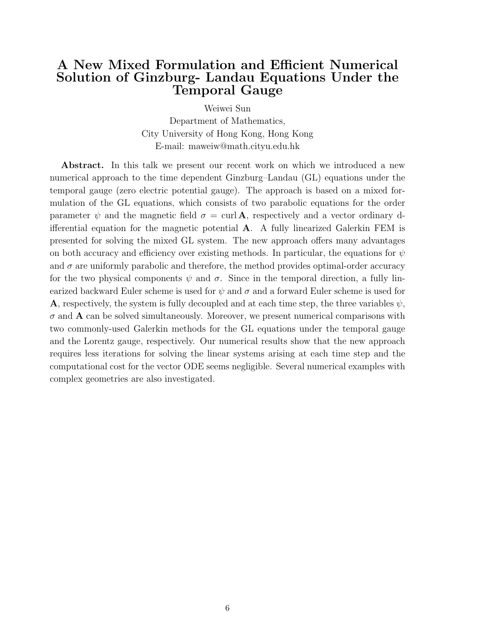#### A New Mixed Formulation and Efficient Numerical Solution of Ginzburg- Landau Equations Under the Temporal Gauge

Weiwei Sun

Department of Mathematics, City University of Hong Kong, Hong Kong E-mail: maweiw@math.cityu.edu.hk

Abstract. In this talk we present our recent work on which we introduced a new numerical approach to the time dependent Ginzburg–Landau (GL) equations under the temporal gauge (zero electric potential gauge). The approach is based on a mixed formulation of the GL equations, which consists of two parabolic equations for the order parameter  $\psi$  and the magnetic field  $\sigma = \text{curl } A$ , respectively and a vector ordinary differential equation for the magnetic potential A. A fully linearized Galerkin FEM is presented for solving the mixed GL system. The new approach offers many advantages on both accuracy and efficiency over existing methods. In particular, the equations for  $\psi$ and  $\sigma$  are uniformly parabolic and therefore, the method provides optimal-order accuracy for the two physical components  $\psi$  and  $\sigma$ . Since in the temporal direction, a fully linearized backward Euler scheme is used for  $\psi$  and  $\sigma$  and a forward Euler scheme is used for **A**, respectively, the system is fully decoupled and at each time step, the three variables  $\psi$ ,  $\sigma$  and **A** can be solved simultaneously. Moreover, we present numerical comparisons with two commonly-used Galerkin methods for the GL equations under the temporal gauge and the Lorentz gauge, respectively. Our numerical results show that the new approach requires less iterations for solving the linear systems arising at each time step and the computational cost for the vector ODE seems negligible. Several numerical examples with complex geometries are also investigated.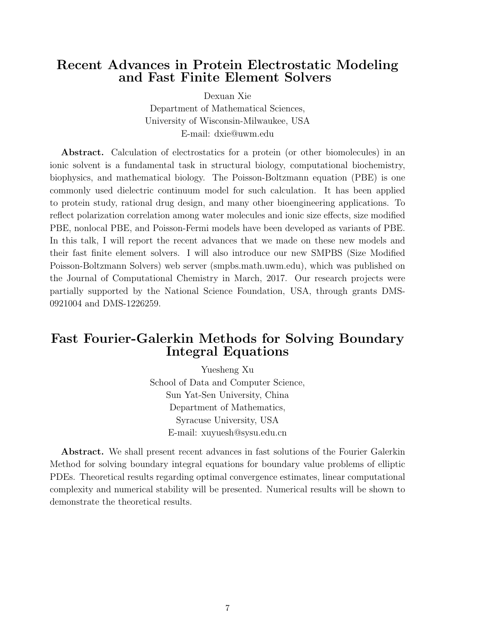#### Recent Advances in Protein Electrostatic Modeling and Fast Finite Element Solvers

Dexuan Xie

Department of Mathematical Sciences, University of Wisconsin-Milwaukee, USA E-mail: dxie@uwm.edu

Abstract. Calculation of electrostatics for a protein (or other biomolecules) in an ionic solvent is a fundamental task in structural biology, computational biochemistry, biophysics, and mathematical biology. The Poisson-Boltzmann equation (PBE) is one commonly used dielectric continuum model for such calculation. It has been applied to protein study, rational drug design, and many other bioengineering applications. To reflect polarization correlation among water molecules and ionic size effects, size modified PBE, nonlocal PBE, and Poisson-Fermi models have been developed as variants of PBE. In this talk, I will report the recent advances that we made on these new models and their fast finite element solvers. I will also introduce our new SMPBS (Size Modified Poisson-Boltzmann Solvers) web server (smpbs.math.uwm.edu), which was published on the Journal of Computational Chemistry in March, 2017. Our research projects were partially supported by the National Science Foundation, USA, through grants DMS-0921004 and DMS-1226259.

#### Fast Fourier-Galerkin Methods for Solving Boundary Integral Equations

Yuesheng Xu School of Data and Computer Science, Sun Yat-Sen University, China Department of Mathematics, Syracuse University, USA E-mail: xuyuesh@sysu.edu.cn

Abstract. We shall present recent advances in fast solutions of the Fourier Galerkin Method for solving boundary integral equations for boundary value problems of elliptic PDEs. Theoretical results regarding optimal convergence estimates, linear computational complexity and numerical stability will be presented. Numerical results will be shown to demonstrate the theoretical results.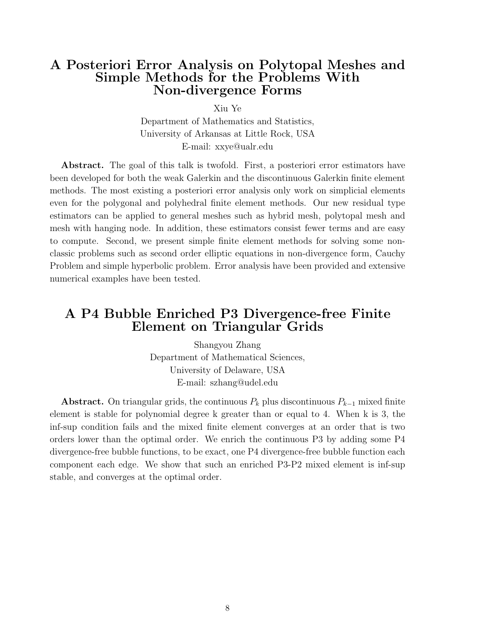#### A Posteriori Error Analysis on Polytopal Meshes and Simple Methods for the Problems With Non-divergence Forms

Xiu Ye

Department of Mathematics and Statistics, University of Arkansas at Little Rock, USA E-mail: xxye@ualr.edu

Abstract. The goal of this talk is twofold. First, a posteriori error estimators have been developed for both the weak Galerkin and the discontinuous Galerkin finite element methods. The most existing a posteriori error analysis only work on simplicial elements even for the polygonal and polyhedral finite element methods. Our new residual type estimators can be applied to general meshes such as hybrid mesh, polytopal mesh and mesh with hanging node. In addition, these estimators consist fewer terms and are easy to compute. Second, we present simple finite element methods for solving some nonclassic problems such as second order elliptic equations in non-divergence form, Cauchy Problem and simple hyperbolic problem. Error analysis have been provided and extensive numerical examples have been tested.

#### A P4 Bubble Enriched P3 Divergence-free Finite Element on Triangular Grids

Shangyou Zhang Department of Mathematical Sciences, University of Delaware, USA E-mail: szhang@udel.edu

Abstract. On triangular grids, the continuous  $P_k$  plus discontinuous  $P_{k-1}$  mixed finite element is stable for polynomial degree k greater than or equal to 4. When k is 3, the inf-sup condition fails and the mixed finite element converges at an order that is two orders lower than the optimal order. We enrich the continuous P3 by adding some P4 divergence-free bubble functions, to be exact, one P4 divergence-free bubble function each component each edge. We show that such an enriched P3-P2 mixed element is inf-sup stable, and converges at the optimal order.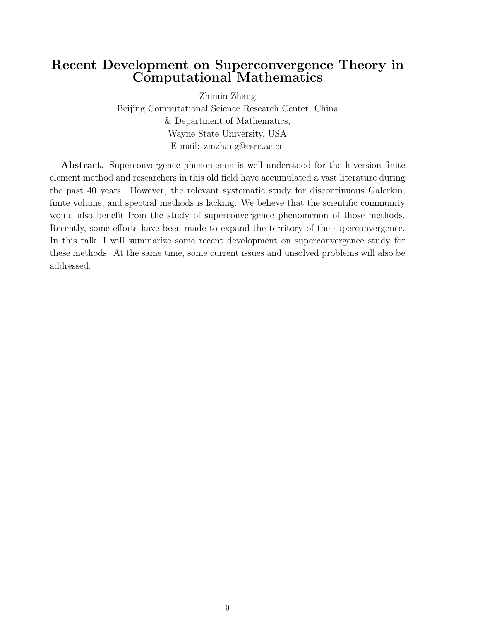#### Recent Development on Superconvergence Theory in Computational Mathematics

Zhimin Zhang

Beijing Computational Science Research Center, China & Department of Mathematics, Wayne State University, USA E-mail: zmzhang@csrc.ac.cn

Abstract. Superconvergence phenomenon is well understood for the h-version finite element method and researchers in this old field have accumulated a vast literature during the past 40 years. However, the relevant systematic study for discontinuous Galerkin, finite volume, and spectral methods is lacking. We believe that the scientific community would also benefit from the study of superconvergence phenomenon of those methods. Recently, some efforts have been made to expand the territory of the superconvergence. In this talk, I will summarize some recent development on superconvergence study for these methods. At the same time, some current issues and unsolved problems will also be addressed.